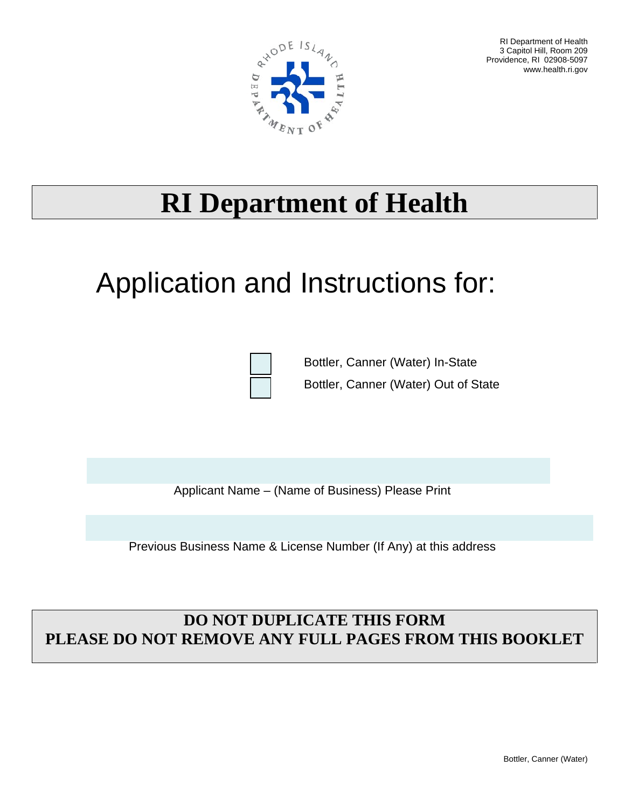

RI Department of Health 3 Capitol Hill, Room 209 Providence, RI 02908-5097 www.health.ri.gov

## **RI Department of Health**

# Application and Instructions for:



Bottler, Canner (Water) In-State Bottler, Canner (Water) Out of State

Applicant Name – (Name of Business) Please Print

Previous Business Name & License Number (If Any) at this address

### **DO NOT DUPLICATE THIS FORM PLEASE DO NOT REMOVE ANY FULL PAGES FROM THIS BOOKLET**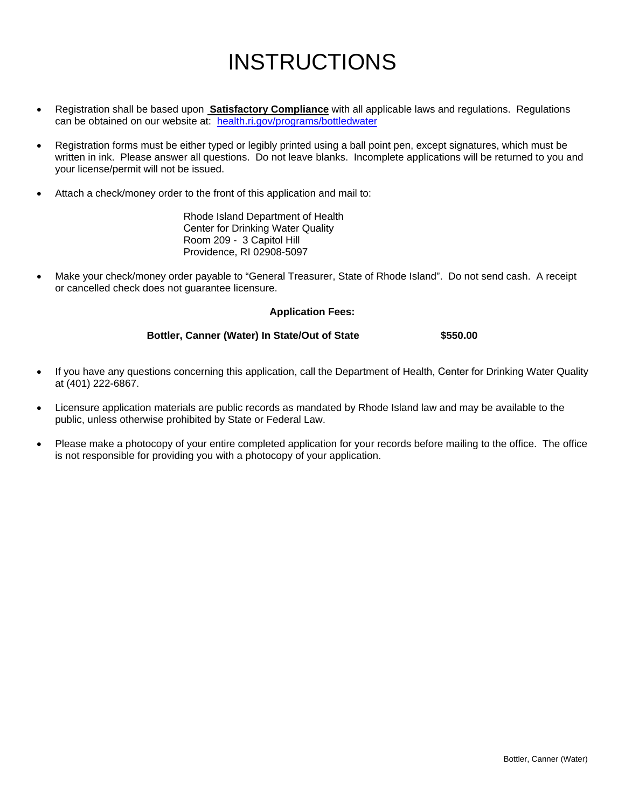## INSTRUCTIONS

- Registration shall be based upon **Satisfactory Compliance** with all applicable laws and regulations. Regulations can be obtained on our website at: [health.ri.gov/programs/bottledwater](https://health.ri.gov/programs/bottledwater)
- Registration forms must be either typed or legibly printed using a ball point pen, except signatures, which must be written in ink. Please answer all questions. Do not leave blanks. Incomplete applications will be returned to you and your license/permit will not be issued.
- Attach a check/money order to the front of this application and mail to:

Rhode Island Department of Health Center for Drinking Water Quality Room 209 - 3 Capitol Hill Providence, RI 02908-5097

• Make your check/money order payable to "General Treasurer, State of Rhode Island". Do not send cash. A receipt or cancelled check does not guarantee licensure.

### **Application Fees:**

### **Bottler, Canner (Water) In State/Out of State \$550.00**

- If you have any questions concerning this application, call the Department of Health, Center for Drinking Water Quality at (401) 222-6867.
- Licensure application materials are public records as mandated by Rhode Island law and may be available to the public, unless otherwise prohibited by State or Federal Law.
- Please make a photocopy of your entire completed application for your records before mailing to the office. The office is not responsible for providing you with a photocopy of your application.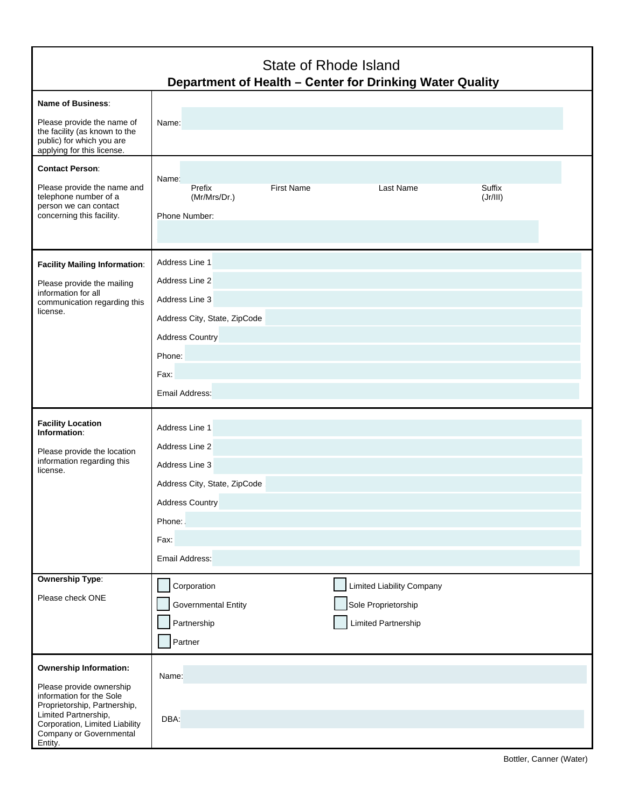| State of Rhode Island<br>Department of Health - Center for Drinking Water Quality                                                                                                                                     |                                                                                                                                                  |                                                                                       |                    |
|-----------------------------------------------------------------------------------------------------------------------------------------------------------------------------------------------------------------------|--------------------------------------------------------------------------------------------------------------------------------------------------|---------------------------------------------------------------------------------------|--------------------|
| <b>Name of Business:</b><br>Please provide the name of<br>the facility (as known to the<br>public) for which you are<br>applying for this license.                                                                    | Name:                                                                                                                                            |                                                                                       |                    |
| <b>Contact Person:</b><br>Please provide the name and<br>telephone number of a<br>person we can contact<br>concerning this facility.                                                                                  | Name:<br><b>First Name</b><br>Prefix<br>(Mr/Mrs/Dr.)<br>Phone Number:                                                                            | Last Name                                                                             | Suffix<br>(Jr/III) |
| <b>Facility Mailing Information:</b><br>Please provide the mailing<br>information for all<br>communication regarding this<br>license.                                                                                 | Address Line 1<br>Address Line 2<br>Address Line 3<br>Address City, State, ZipCode<br><b>Address Country</b><br>Phone:<br>Fax:<br>Email Address: |                                                                                       |                    |
| <b>Facility Location</b><br>Information:<br>Please provide the location<br>information regarding this<br>license.                                                                                                     | Address Line 1<br>Address Line 2<br>Address Line 3<br>Address City, State, ZipCode<br>Address Country<br>Phone:<br>Fax:<br>Email Address:        |                                                                                       |                    |
| <b>Ownership Type:</b><br>Please check ONE                                                                                                                                                                            | Corporation<br><b>Governmental Entity</b><br>Partnership<br>Partner                                                                              | <b>Limited Liability Company</b><br>Sole Proprietorship<br><b>Limited Partnership</b> |                    |
| <b>Ownership Information:</b><br>Please provide ownership<br>information for the Sole<br>Proprietorship, Partnership,<br>Limited Partnership,<br>Corporation, Limited Liability<br>Company or Governmental<br>Entity. | Name:<br>DBA:                                                                                                                                    |                                                                                       |                    |